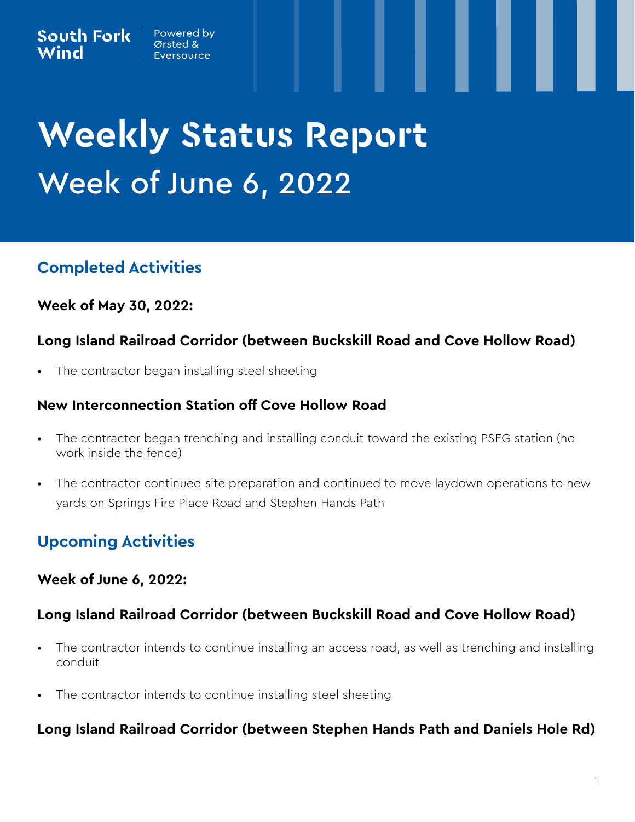# **Weekly Status Report Week of June 6, 2022**

# **Completed Activities**

#### **Week of May 30, 2022:**

## **Long Island Railroad Corridor (between Buckskill Road and Cove Hollow Road)**

The contractor began installing steel sheeting

#### **New Interconnection Station off Cove Hollow Road**

- The contractor began trenching and installing conduit toward the existing PSEG station (no work inside the fence)
- The contractor continued site preparation and continued to move laydown operations to new yards on Springs Fire Place Road and Stephen Hands Path

# **Upcoming Activities**

#### **Week of June 6, 2022:**

## **Long Island Railroad Corridor (between Buckskill Road and Cove Hollow Road)**

- The contractor intends to continue installing an access road, as well as trenching and installing conduit
- The contractor intends to continue installing steel sheeting

## **Long Island Railroad Corridor (between Stephen Hands Path and Daniels Hole Rd)**